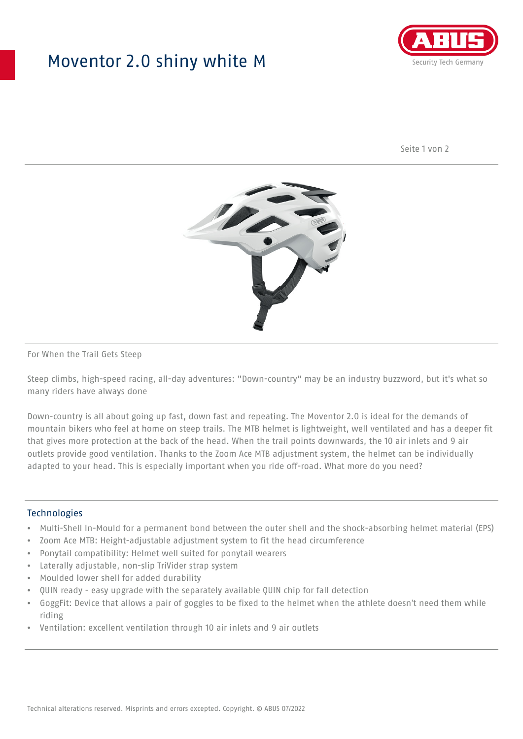## Moventor 2.0 shiny white M



Seite 1 von 2



#### For When the Trail Gets Steep

Steep climbs, high-speed racing, all-day adventures: "Down-country" may be an industry buzzword, but it's what so many riders have always done

Down-country is all about going up fast, down fast and repeating. The Moventor 2.0 is ideal for the demands of mountain bikers who feel at home on steep trails. The MTB helmet is lightweight, well ventilated and has a deeper fit that gives more protection at the back of the head. When the trail points downwards, the 10 air inlets and 9 air outlets provide good ventilation. Thanks to the Zoom Ace MTB adjustment system, the helmet can be individually adapted to your head. This is especially important when you ride off-road. What more do you need?

#### **Technologies**

- Multi-Shell In-Mould for a permanent bond between the outer shell and the shock-absorbing helmet material (EPS)
- Zoom Ace MTB: Height-adjustable adjustment system to fit the head circumference
- Ponytail compatibility: Helmet well suited for ponytail wearers
- Laterally adjustable, non-slip TriVider strap system
- Moulded lower shell for added durability
- QUIN ready easy upgrade with the separately available QUIN chip for fall detection
- GoggFit: Device that allows a pair of goggles to be fixed to the helmet when the athlete doesn't need them while riding
- Ventilation: excellent ventilation through 10 air inlets and 9 air outlets